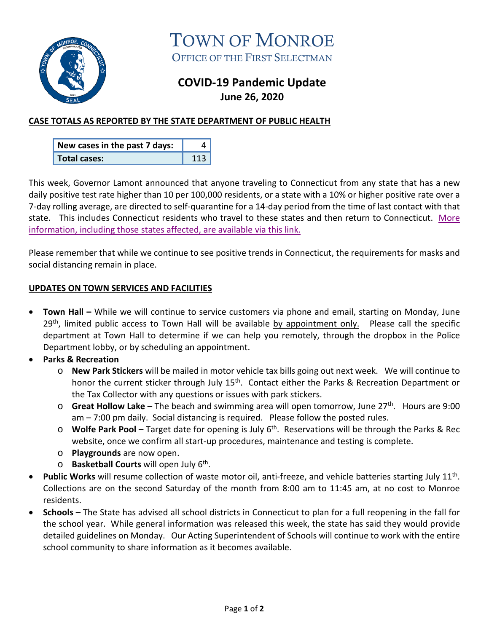

TOWN OF MONROE OFFICE OF THE FIRST SELECTMAN

# **COVID-19 Pandemic Update June 26, 2020**

## **CASE TOTALS AS REPORTED BY THE STATE DEPARTMENT OF PUBLIC HEALTH**

| New cases in the past 7 days: |     |
|-------------------------------|-----|
| <b>Total cases:</b>           | 113 |

This week, Governor Lamont announced that anyone traveling to Connecticut from any state that has a new daily positive test rate higher than 10 per 100,000 residents, or a state with a 10% or higher positive rate over a 7-day rolling average, are directed to self-quarantine for a 14-day period from the time of last contact with that state. This includes Connecticut residents who travel to these states and then return to Connecticut. [More](https://portal.ct.gov/Coronavirus/Covid-19-Knowledge-Base/Travel-In-or-Out-of-CT)  information, [including those states](https://portal.ct.gov/Coronavirus/Covid-19-Knowledge-Base/Travel-In-or-Out-of-CT) affected, are available via this link.

Please remember that while we continue to see positive trends in Connecticut, the requirements for masks and social distancing remain in place.

#### **UPDATES ON TOWN SERVICES AND FACILITIES**

- **Town Hall –** While we will continue to service customers via phone and email, starting on Monday, June 29th, limited public access to Town Hall will be available by appointment only.Please call the specific department at Town Hall to determine if we can help you remotely, through the dropbox in the Police Department lobby, or by scheduling an appointment.
- **Parks & Recreation**
	- o **New Park Stickers** will be mailed in motor vehicle tax bills going out next week. We will continue to honor the current sticker through July 15<sup>th</sup>. Contact either the Parks & Recreation Department or the Tax Collector with any questions or issues with park stickers.
	- o **Great Hollow Lake –** The beach and swimming area will open tomorrow, June 27th. Hours are 9:00 am – 7:00 pm daily. Social distancing is required. Please follow the posted rules.
	- o **Wolfe Park Pool –** Target date for opening is July 6th. Reservations will be through the Parks & Rec website, once we confirm all start-up procedures, maintenance and testing is complete.
	- o **Playgrounds** are now open.
	- o **Basketball Courts** will open July 6th.
- **Public Works** will resume collection of waste motor oil, anti-freeze, and vehicle batteries starting July 11th. Collections are on the second Saturday of the month from 8:00 am to 11:45 am, at no cost to Monroe residents.
- **Schools –** The State has advised all school districts in Connecticut to plan for a full reopening in the fall for the school year. While general information was released this week, the state has said they would provide detailed guidelines on Monday. Our Acting Superintendent of Schools will continue to work with the entire school community to share information as it becomes available.